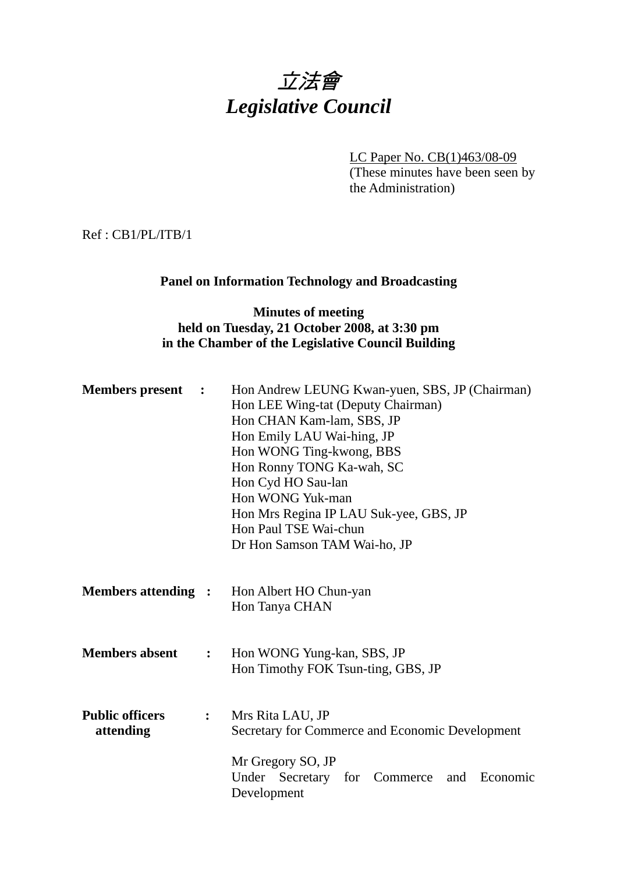

LC Paper No. CB(1)463/08-09 (These minutes have been seen by the Administration)

Ref : CB1/PL/ITB/1

### **Panel on Information Technology and Broadcasting**

# **Minutes of meeting held on Tuesday, 21 October 2008, at 3:30 pm in the Chamber of the Legislative Council Building**

| <b>Members</b> present<br>$\ddot{\phantom{1}}$ |                | Hon Andrew LEUNG Kwan-yuen, SBS, JP (Chairman)<br>Hon LEE Wing-tat (Deputy Chairman)<br>Hon CHAN Kam-lam, SBS, JP<br>Hon Emily LAU Wai-hing, JP<br>Hon WONG Ting-kwong, BBS<br>Hon Ronny TONG Ka-wah, SC<br>Hon Cyd HO Sau-lan<br>Hon WONG Yuk-man<br>Hon Mrs Regina IP LAU Suk-yee, GBS, JP<br>Hon Paul TSE Wai-chun<br>Dr Hon Samson TAM Wai-ho, JP |
|------------------------------------------------|----------------|-------------------------------------------------------------------------------------------------------------------------------------------------------------------------------------------------------------------------------------------------------------------------------------------------------------------------------------------------------|
| <b>Members attending :</b>                     |                | Hon Albert HO Chun-yan<br>Hon Tanya CHAN                                                                                                                                                                                                                                                                                                              |
| <b>Members absent</b>                          | $\ddot{\cdot}$ | Hon WONG Yung-kan, SBS, JP<br>Hon Timothy FOK Tsun-ting, GBS, JP                                                                                                                                                                                                                                                                                      |
| <b>Public officers</b><br>attending            | $\ddot{\cdot}$ | Mrs Rita LAU, JP<br>Secretary for Commerce and Economic Development                                                                                                                                                                                                                                                                                   |
|                                                |                | Mr Gregory SO, JP<br>Under Secretary for Commerce<br>Economic<br>and<br>Development                                                                                                                                                                                                                                                                   |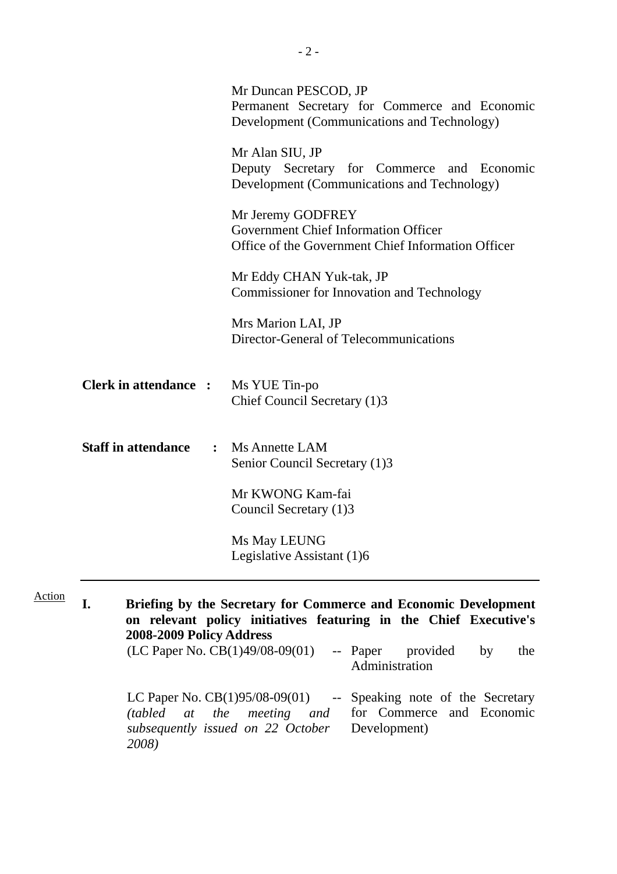|                                                                    | Mr Duncan PESCOD, JP<br>Permanent Secretary for Commerce and Economic<br>Development (Communications and Technology)                                                                                                            |
|--------------------------------------------------------------------|---------------------------------------------------------------------------------------------------------------------------------------------------------------------------------------------------------------------------------|
|                                                                    | Mr Alan SIU, JP<br>Deputy Secretary for Commerce and Economic<br>Development (Communications and Technology)                                                                                                                    |
|                                                                    | Mr Jeremy GODFREY<br><b>Government Chief Information Officer</b><br>Office of the Government Chief Information Officer                                                                                                          |
|                                                                    | Mr Eddy CHAN Yuk-tak, JP<br><b>Commissioner for Innovation and Technology</b>                                                                                                                                                   |
|                                                                    | Mrs Marion LAI, JP<br>Director-General of Telecommunications                                                                                                                                                                    |
| <b>Clerk in attendance : Ms YUE Tin-po</b>                         | Chief Council Secretary (1)3                                                                                                                                                                                                    |
| <b>Staff in attendance</b>                                         | : Ms Annette LAM<br>Senior Council Secretary (1)3                                                                                                                                                                               |
|                                                                    | Mr KWONG Kam-fai<br>Council Secretary (1)3                                                                                                                                                                                      |
|                                                                    | Ms May LEUNG<br>Legislative Assistant (1)6                                                                                                                                                                                      |
| I.<br>2008-2009 Policy Address                                     | Briefing by the Secretary for Commerce and Economic Development<br>on relevant policy initiatives featuring in the Chief Executive's<br>$(LC$ Paper No. $CB(1)49/08-09(01)$ -- Paper<br>provided<br>the<br>by<br>Administration |
| LC Paper No. $CB(1)95/08-09(01)$<br>the<br>(tabled)<br>at<br>2008) | -- Speaking note of the Secretary<br>meeting and<br>for Commerce and Economic<br>subsequently issued on 22 October<br>Development)                                                                                              |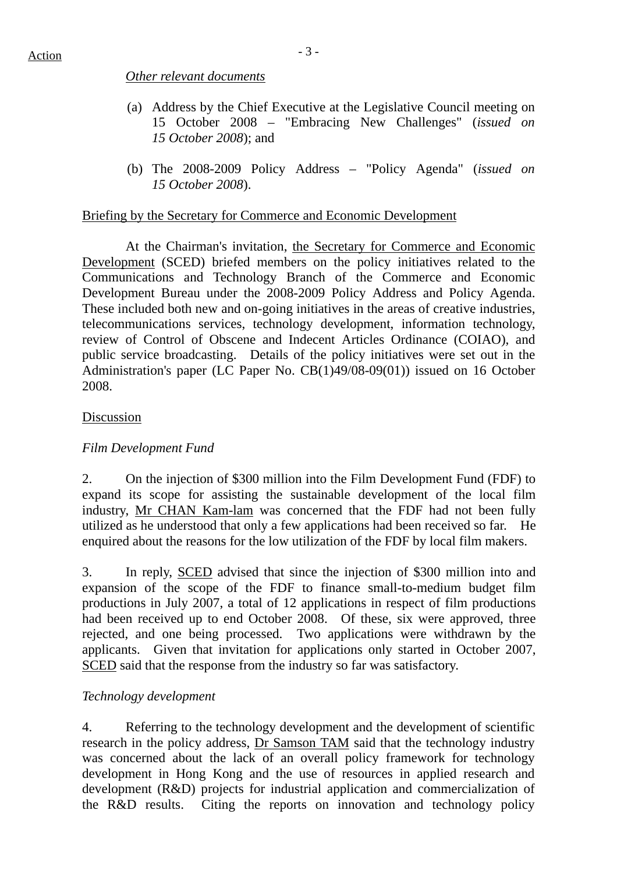# *Other relevant documents*

- (a) Address by the Chief Executive at the Legislative Council meeting on 15 October 2008 – "Embracing New Challenges" (*issued on 15 October 2008*); and
- (b) The 2008-2009 Policy Address "Policy Agenda" (*issued on 15 October 2008*).

## Briefing by the Secretary for Commerce and Economic Development

 At the Chairman's invitation, the Secretary for Commerce and Economic Development (SCED) briefed members on the policy initiatives related to the Communications and Technology Branch of the Commerce and Economic Development Bureau under the 2008-2009 Policy Address and Policy Agenda. These included both new and on-going initiatives in the areas of creative industries, telecommunications services, technology development, information technology, review of Control of Obscene and Indecent Articles Ordinance (COIAO), and public service broadcasting. Details of the policy initiatives were set out in the Administration's paper (LC Paper No. CB(1)49/08-09(01)) issued on 16 October 2008.

## Discussion

# *Film Development Fund*

2. On the injection of \$300 million into the Film Development Fund (FDF) to expand its scope for assisting the sustainable development of the local film industry, Mr CHAN Kam-lam was concerned that the FDF had not been fully utilized as he understood that only a few applications had been received so far. He enquired about the reasons for the low utilization of the FDF by local film makers.

3. In reply, SCED advised that since the injection of \$300 million into and expansion of the scope of the FDF to finance small-to-medium budget film productions in July 2007, a total of 12 applications in respect of film productions had been received up to end October 2008. Of these, six were approved, three rejected, and one being processed. Two applications were withdrawn by the applicants. Given that invitation for applications only started in October 2007, SCED said that the response from the industry so far was satisfactory.

# *Technology development*

4. Referring to the technology development and the development of scientific research in the policy address, Dr Samson TAM said that the technology industry was concerned about the lack of an overall policy framework for technology development in Hong Kong and the use of resources in applied research and development (R&D) projects for industrial application and commercialization of the R&D results. Citing the reports on innovation and technology policy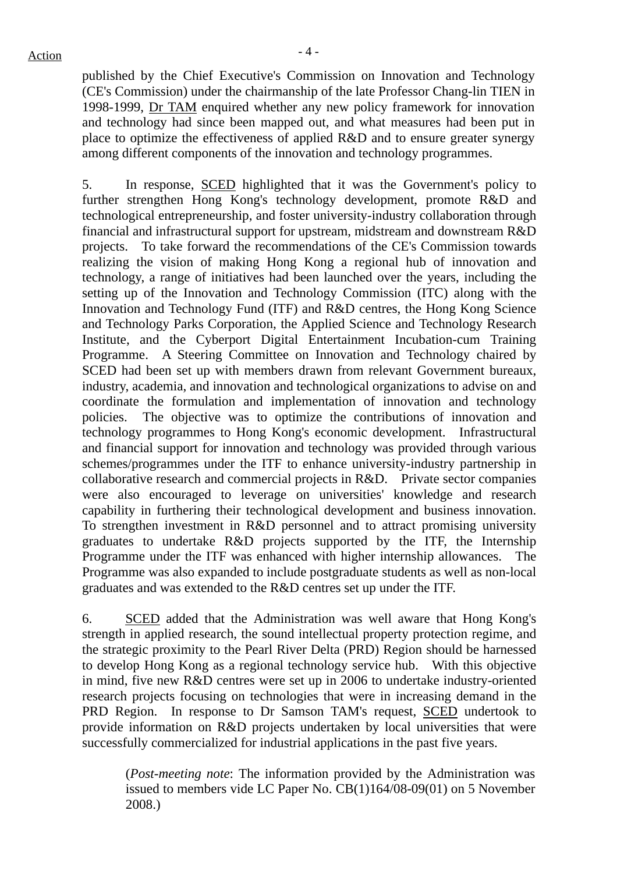$Action$ 

published by the Chief Executive's Commission on Innovation and Technology (CE's Commission) under the chairmanship of the late Professor Chang-lin TIEN in 1998-1999, Dr TAM enquired whether any new policy framework for innovation and technology had since been mapped out, and what measures had been put in place to optimize the effectiveness of applied R&D and to ensure greater synergy among different components of the innovation and technology programmes.

5. In response, SCED highlighted that it was the Government's policy to further strengthen Hong Kong's technology development, promote R&D and technological entrepreneurship, and foster university-industry collaboration through financial and infrastructural support for upstream, midstream and downstream R&D projects. To take forward the recommendations of the CE's Commission towards realizing the vision of making Hong Kong a regional hub of innovation and technology, a range of initiatives had been launched over the years, including the setting up of the Innovation and Technology Commission (ITC) along with the Innovation and Technology Fund (ITF) and R&D centres, the Hong Kong Science and Technology Parks Corporation, the Applied Science and Technology Research Institute, and the Cyberport Digital Entertainment Incubation-cum Training Programme. A Steering Committee on Innovation and Technology chaired by SCED had been set up with members drawn from relevant Government bureaux, industry, academia, and innovation and technological organizations to advise on and coordinate the formulation and implementation of innovation and technology policies. The objective was to optimize the contributions of innovation and technology programmes to Hong Kong's economic development. Infrastructural and financial support for innovation and technology was provided through various schemes/programmes under the ITF to enhance university-industry partnership in collaborative research and commercial projects in R&D. Private sector companies were also encouraged to leverage on universities' knowledge and research capability in furthering their technological development and business innovation. To strengthen investment in R&D personnel and to attract promising university graduates to undertake R&D projects supported by the ITF, the Internship Programme under the ITF was enhanced with higher internship allowances. The Programme was also expanded to include postgraduate students as well as non-local graduates and was extended to the R&D centres set up under the ITF.

6. SCED added that the Administration was well aware that Hong Kong's strength in applied research, the sound intellectual property protection regime, and the strategic proximity to the Pearl River Delta (PRD) Region should be harnessed to develop Hong Kong as a regional technology service hub. With this objective in mind, five new R&D centres were set up in 2006 to undertake industry-oriented research projects focusing on technologies that were in increasing demand in the PRD Region. In response to Dr Samson TAM's request, SCED undertook to provide information on R&D projects undertaken by local universities that were successfully commercialized for industrial applications in the past five years.

(*Post-meeting note*: The information provided by the Administration was issued to members vide LC Paper No. CB(1)164/08-09(01) on 5 November 2008.)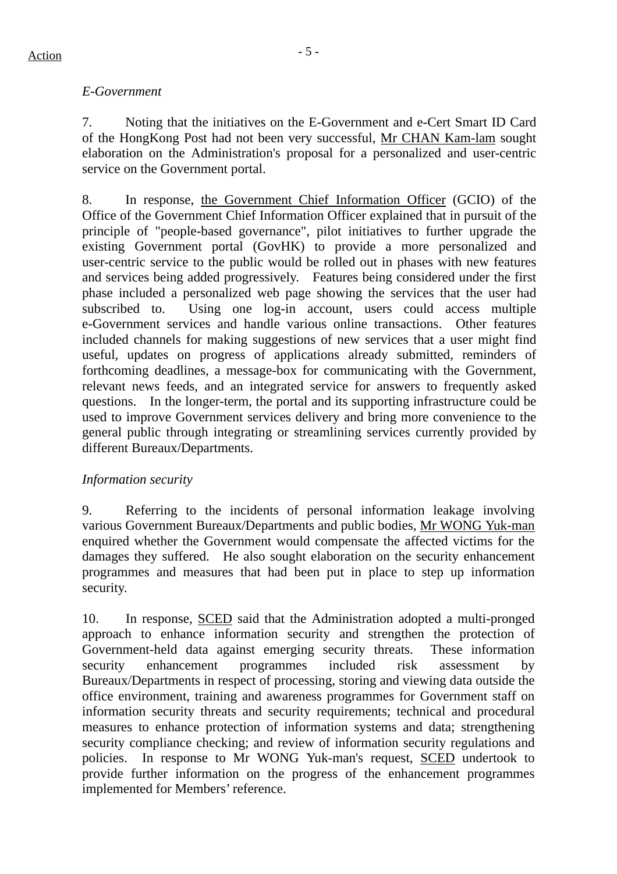# *E-Government*

7. Noting that the initiatives on the E-Government and e-Cert Smart ID Card of the HongKong Post had not been very successful, Mr CHAN Kam-lam sought elaboration on the Administration's proposal for a personalized and user-centric service on the Government portal.

8. In response, the Government Chief Information Officer (GCIO) of the Office of the Government Chief Information Officer explained that in pursuit of the principle of "people-based governance", pilot initiatives to further upgrade the existing Government portal (GovHK) to provide a more personalized and user-centric service to the public would be rolled out in phases with new features and services being added progressively. Features being considered under the first phase included a personalized web page showing the services that the user had subscribed to. Using one log-in account, users could access multiple e-Government services and handle various online transactions. Other features included channels for making suggestions of new services that a user might find useful, updates on progress of applications already submitted, reminders of forthcoming deadlines, a message-box for communicating with the Government, relevant news feeds, and an integrated service for answers to frequently asked questions. In the longer-term, the portal and its supporting infrastructure could be used to improve Government services delivery and bring more convenience to the general public through integrating or streamlining services currently provided by different Bureaux/Departments.

# *Information security*

9. Referring to the incidents of personal information leakage involving various Government Bureaux/Departments and public bodies, Mr WONG Yuk-man enquired whether the Government would compensate the affected victims for the damages they suffered. He also sought elaboration on the security enhancement programmes and measures that had been put in place to step up information security.

10. In response, SCED said that the Administration adopted a multi-pronged approach to enhance information security and strengthen the protection of Government-held data against emerging security threats. These information security enhancement programmes included risk assessment by Bureaux/Departments in respect of processing, storing and viewing data outside the office environment, training and awareness programmes for Government staff on information security threats and security requirements; technical and procedural measures to enhance protection of information systems and data; strengthening security compliance checking; and review of information security regulations and policies. In response to Mr WONG Yuk-man's request, SCED undertook to provide further information on the progress of the enhancement programmes implemented for Members' reference.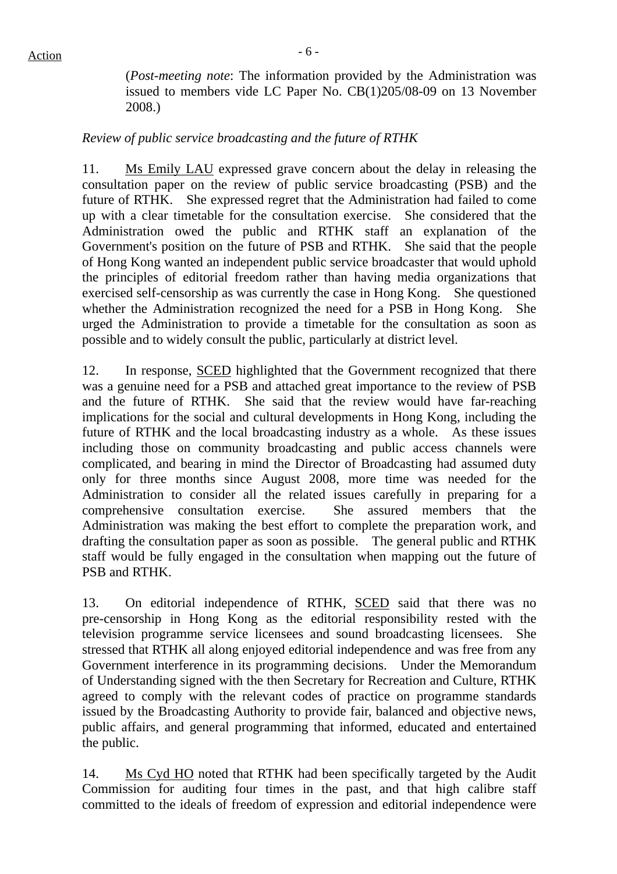(*Post-meeting note*: The information provided by the Administration was issued to members vide LC Paper No. CB(1)205/08-09 on 13 November 2008.)

# *Review of public service broadcasting and the future of RTHK*

11. Ms Emily LAU expressed grave concern about the delay in releasing the consultation paper on the review of public service broadcasting (PSB) and the future of RTHK. She expressed regret that the Administration had failed to come up with a clear timetable for the consultation exercise. She considered that the Administration owed the public and RTHK staff an explanation of the Government's position on the future of PSB and RTHK. She said that the people of Hong Kong wanted an independent public service broadcaster that would uphold the principles of editorial freedom rather than having media organizations that exercised self-censorship as was currently the case in Hong Kong. She questioned whether the Administration recognized the need for a PSB in Hong Kong. She urged the Administration to provide a timetable for the consultation as soon as possible and to widely consult the public, particularly at district level.

12. In response, SCED highlighted that the Government recognized that there was a genuine need for a PSB and attached great importance to the review of PSB and the future of RTHK. She said that the review would have far-reaching implications for the social and cultural developments in Hong Kong, including the future of RTHK and the local broadcasting industry as a whole. As these issues including those on community broadcasting and public access channels were complicated, and bearing in mind the Director of Broadcasting had assumed duty only for three months since August 2008, more time was needed for the Administration to consider all the related issues carefully in preparing for a comprehensive consultation exercise. She assured members that the Administration was making the best effort to complete the preparation work, and drafting the consultation paper as soon as possible. The general public and RTHK staff would be fully engaged in the consultation when mapping out the future of PSB and RTHK.

13. On editorial independence of RTHK, SCED said that there was no pre-censorship in Hong Kong as the editorial responsibility rested with the television programme service licensees and sound broadcasting licensees. She stressed that RTHK all along enjoyed editorial independence and was free from any Government interference in its programming decisions. Under the Memorandum of Understanding signed with the then Secretary for Recreation and Culture, RTHK agreed to comply with the relevant codes of practice on programme standards issued by the Broadcasting Authority to provide fair, balanced and objective news, public affairs, and general programming that informed, educated and entertained the public.

14. Ms Cyd HO noted that RTHK had been specifically targeted by the Audit Commission for auditing four times in the past, and that high calibre staff committed to the ideals of freedom of expression and editorial independence were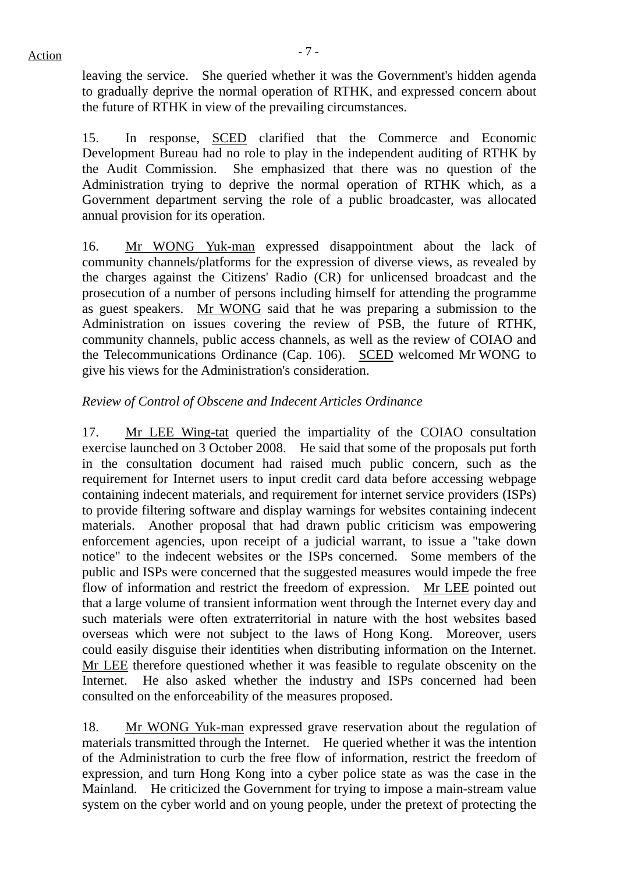leaving the service. She queried whether it was the Government's hidden agenda to gradually deprive the normal operation of RTHK, and expressed concern about the future of RTHK in view of the prevailing circumstances.

15. In response, SCED clarified that the Commerce and Economic Development Bureau had no role to play in the independent auditing of RTHK by the Audit Commission. She emphasized that there was no question of the Administration trying to deprive the normal operation of RTHK which, as a Government department serving the role of a public broadcaster, was allocated annual provision for its operation.

16. Mr WONG Yuk-man expressed disappointment about the lack of community channels/platforms for the expression of diverse views, as revealed by the charges against the Citizens' Radio (CR) for unlicensed broadcast and the prosecution of a number of persons including himself for attending the programme as guest speakers. Mr WONG said that he was preparing a submission to the Administration on issues covering the review of PSB, the future of RTHK, community channels, public access channels, as well as the review of COIAO and the Telecommunications Ordinance (Cap. 106). SCED welcomed Mr WONG to give his views for the Administration's consideration.

# *Review of Control of Obscene and Indecent Articles Ordinance*

17. Mr LEE Wing-tat queried the impartiality of the COIAO consultation exercise launched on 3 October 2008. He said that some of the proposals put forth in the consultation document had raised much public concern, such as the requirement for Internet users to input credit card data before accessing webpage containing indecent materials, and requirement for internet service providers (ISPs) to provide filtering software and display warnings for websites containing indecent materials. Another proposal that had drawn public criticism was empowering enforcement agencies, upon receipt of a judicial warrant, to issue a "take down notice" to the indecent websites or the ISPs concerned. Some members of the public and ISPs were concerned that the suggested measures would impede the free flow of information and restrict the freedom of expression. Mr LEE pointed out that a large volume of transient information went through the Internet every day and such materials were often extraterritorial in nature with the host websites based overseas which were not subject to the laws of Hong Kong. Moreover, users could easily disguise their identities when distributing information on the Internet. Mr LEE therefore questioned whether it was feasible to regulate obscenity on the Internet. He also asked whether the industry and ISPs concerned had been consulted on the enforceability of the measures proposed.

18. Mr WONG Yuk-man expressed grave reservation about the regulation of materials transmitted through the Internet. He queried whether it was the intention of the Administration to curb the free flow of information, restrict the freedom of expression, and turn Hong Kong into a cyber police state as was the case in the Mainland. He criticized the Government for trying to impose a main-stream value system on the cyber world and on young people, under the pretext of protecting the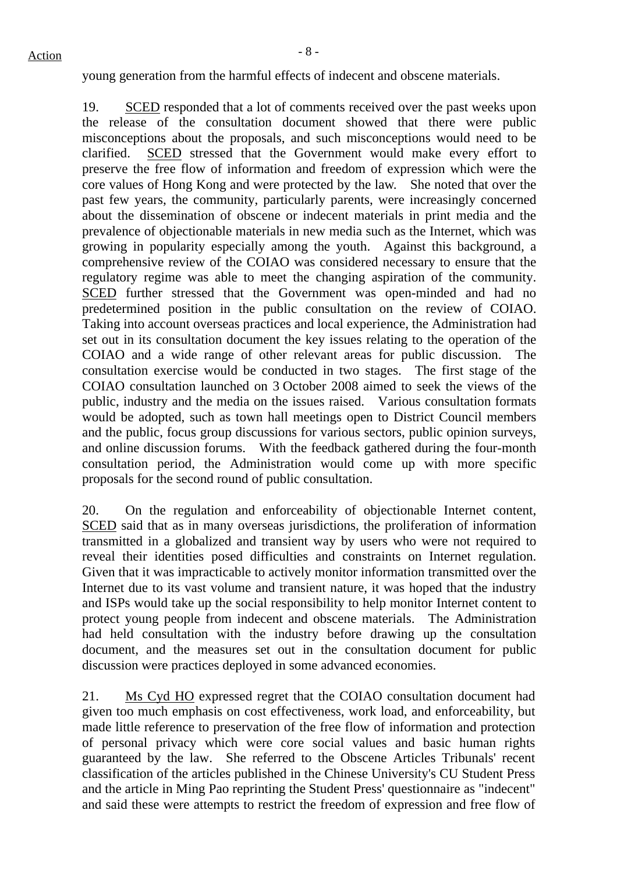young generation from the harmful effects of indecent and obscene materials.

19. SCED responded that a lot of comments received over the past weeks upon the release of the consultation document showed that there were public misconceptions about the proposals, and such misconceptions would need to be clarified. SCED stressed that the Government would make every effort to preserve the free flow of information and freedom of expression which were the core values of Hong Kong and were protected by the law. She noted that over the past few years, the community, particularly parents, were increasingly concerned about the dissemination of obscene or indecent materials in print media and the prevalence of objectionable materials in new media such as the Internet, which was growing in popularity especially among the youth. Against this background, a comprehensive review of the COIAO was considered necessary to ensure that the regulatory regime was able to meet the changing aspiration of the community. SCED further stressed that the Government was open-minded and had no predetermined position in the public consultation on the review of COIAO. Taking into account overseas practices and local experience, the Administration had set out in its consultation document the key issues relating to the operation of the COIAO and a wide range of other relevant areas for public discussion. The consultation exercise would be conducted in two stages. The first stage of the COIAO consultation launched on 3 October 2008 aimed to seek the views of the public, industry and the media on the issues raised. Various consultation formats would be adopted, such as town hall meetings open to District Council members and the public, focus group discussions for various sectors, public opinion surveys, and online discussion forums. With the feedback gathered during the four-month consultation period, the Administration would come up with more specific proposals for the second round of public consultation.

20. On the regulation and enforceability of objectionable Internet content, SCED said that as in many overseas jurisdictions, the proliferation of information transmitted in a globalized and transient way by users who were not required to reveal their identities posed difficulties and constraints on Internet regulation. Given that it was impracticable to actively monitor information transmitted over the Internet due to its vast volume and transient nature, it was hoped that the industry and ISPs would take up the social responsibility to help monitor Internet content to protect young people from indecent and obscene materials. The Administration had held consultation with the industry before drawing up the consultation document, and the measures set out in the consultation document for public discussion were practices deployed in some advanced economies.

21. Ms Cyd HO expressed regret that the COIAO consultation document had given too much emphasis on cost effectiveness, work load, and enforceability, but made little reference to preservation of the free flow of information and protection of personal privacy which were core social values and basic human rights guaranteed by the law. She referred to the Obscene Articles Tribunals' recent classification of the articles published in the Chinese University's CU Student Press and the article in Ming Pao reprinting the Student Press' questionnaire as "indecent" and said these were attempts to restrict the freedom of expression and free flow of